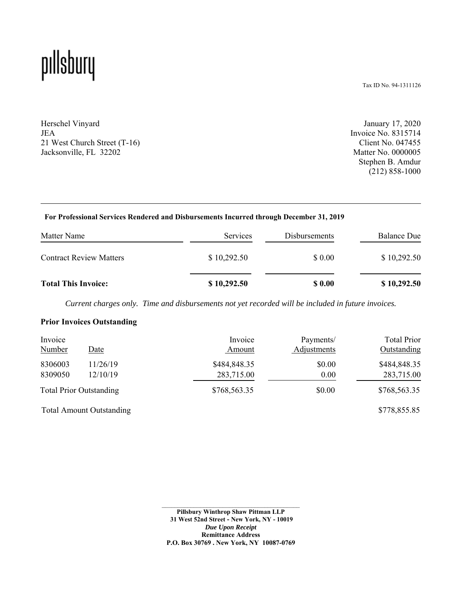## pıllsbury

Tax ID No. 94-1311126

Herschel Vinyard JEA 21 West Church Street (T-16) Jacksonville, FL 32202

January 17, 2020 Invoice No. 8315714 Client No. 047455 Matter No. 0000005 Stephen B. Amdur (212) 858-1000

#### **For Professional Services Rendered and Disbursements Incurred through December 31, 2019**

| Matter Name                    | Services    | Disbursements | <b>Balance Due</b> |
|--------------------------------|-------------|---------------|--------------------|
| <b>Contract Review Matters</b> | \$10,292.50 | \$ 0.00       | \$10,292.50        |
| <b>Total This Invoice:</b>     | \$10,292.50 | \$ 0.00       | \$10,292.50        |

*Current charges only. Time and disbursements not yet recorded will be included in future invoices.*

#### **Prior Invoices Outstanding**

| Invoice                        | Date     | Invoice      | Payments/   | <b>Total Prior</b> |
|--------------------------------|----------|--------------|-------------|--------------------|
| <b>Number</b>                  |          | Amount       | Adjustments | Outstanding        |
| 8306003                        | 11/26/19 | \$484,848.35 | \$0.00      | \$484,848.35       |
| 8309050                        | 12/10/19 | 283,715.00   | 0.00        | 283,715.00         |
| <b>Total Prior Outstanding</b> |          | \$768,563.35 | \$0.00      | \$768,563.35       |

Total Amount Outstanding \$778,855.85

**Pillsbury Winthrop Shaw Pittman LLP 31 West 52nd Street - New York, NY - 10019** *Due Upon Receipt*  **Remittance Address P.O. Box 30769 . New York, NY 10087-0769**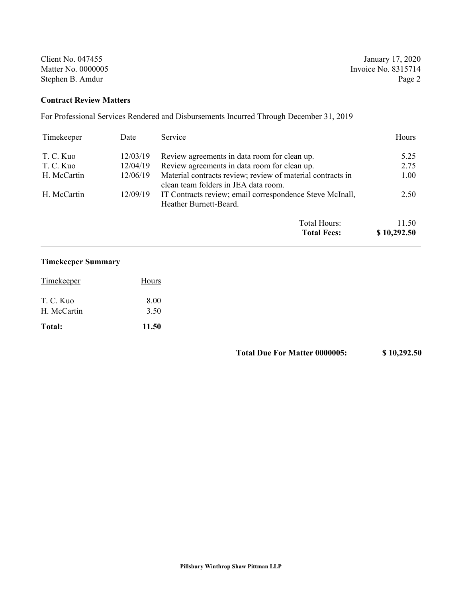| Client No. 047455  | January 17, 2020    |
|--------------------|---------------------|
| Matter No. 0000005 | Invoice No. 8315714 |
| Stephen B. Amdur   | Page 2              |

#### **Contract Review Matters**

For Professional Services Rendered and Disbursements Incurred Through December 31, 2019

| Timekeeper  | Date     | Service                                                                                            | Hours       |
|-------------|----------|----------------------------------------------------------------------------------------------------|-------------|
| T. C. Kuo   | 12/03/19 | Review agreements in data room for clean up.                                                       | 5.25        |
| T. C. Kuo   | 12/04/19 | Review agreements in data room for clean up.                                                       | 2.75        |
| H. McCartin | 12/06/19 | Material contracts review; review of material contracts in<br>clean team folders in JEA data room. | 1.00        |
| H. McCartin | 12/09/19 | IT Contracts review; email correspondence Steve McInall,<br>Heather Burnett-Beard.                 | 2.50        |
|             |          | Total Hours:                                                                                       | 11.50       |
|             |          | <b>Total Fees:</b>                                                                                 | \$10,292.50 |

### **Timekeeper Summary**

| Total:      | 11.50 |
|-------------|-------|
| H. McCartin | 3.50  |
| T. C. Kuo   | 8.00  |
| Timekeeper  | Hours |

**Total Due For Matter 0000005: \$ 10,292.50**